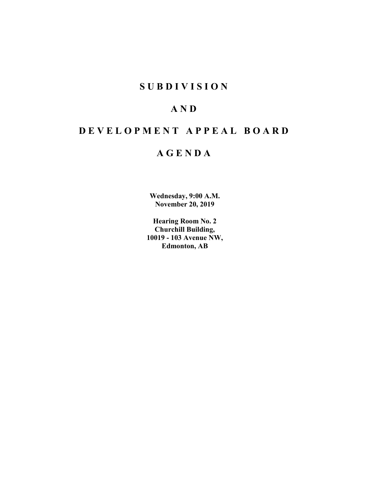# **SUBDIVISION**

# **AND**

# **DEVELOPMENT APPEAL BOARD**

# **AGENDA**

**Wednesday, 9:00 A.M. November 20, 2019**

**Hearing Room No. 2 Churchill Building, 10019 - 103 Avenue NW, Edmonton, AB**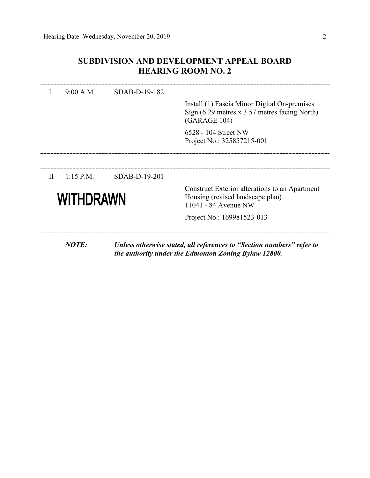## **SUBDIVISION AND DEVELOPMENT APPEAL BOARD HEARING ROOM NO. 2**

|              | 9:00 A.M.   | SDAB-D-19-182   |                                                                                                                               |
|--------------|-------------|-----------------|-------------------------------------------------------------------------------------------------------------------------------|
|              |             |                 | Install (1) Fascia Minor Digital On-premises<br>Sign $(6.29$ metres x 3.57 metres facing North)<br>(GARAGE 104)               |
|              |             |                 | 6528 - 104 Street NW<br>Project No.: 325857215-001                                                                            |
|              |             |                 |                                                                                                                               |
| $\mathbf{H}$ | $1:15$ P.M. | $SDAB-D-19-201$ |                                                                                                                               |
|              | WITHDRAWN   |                 | Construct Exterior alterations to an Apartment<br>Housing (revised landscape plan)<br>11041 - 84 Avenue NW                    |
|              |             |                 | Project No.: 169981523-013                                                                                                    |
|              | NOTE:       |                 | Unless otherwise stated, all references to "Section numbers" refer to<br>the authority under the Edmonton Zoning Bylaw 12800. |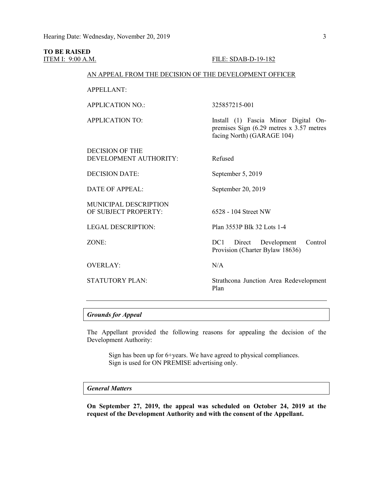# **TO BE RAISED**

#### ITEM I: 9:00 A.M. **FILE: SDAB-D-19-182**

#### AN APPEAL FROM THE DECISION OF THE DEVELOPMENT OFFICER

APPELLANT:

APPLICATION NO.: 325857215-001

APPLICATION TO: Install (1) Fascia Minor Digital On-

DECISION OF THE DEVELOPMENT AUTHORITY: Refused

DECISION DATE: September 5, 2019

DATE OF APPEAL: September 20, 2019

MUNICIPAL DESCRIPTION OF SUBJECT PROPERTY: 6528 - 104 Street NW

OVERLAY: N/A

LEGAL DESCRIPTION: Plan 3553P Blk 32 Lots 1-4

ZONE: DC1 Direct Development Control Provision (Charter Bylaw 18636)

premises Sign (6.29 metres x 3.57 metres

facing North) (GARAGE 104)

STATUTORY PLAN: Strathcona Junction Area Redevelopment Plan

#### *Grounds for Appeal*

The Appellant provided the following reasons for appealing the decision of the Development Authority:

Sign has been up for 6+years. We have agreed to physical compliances. Sign is used for ON PREMISE advertising only.

#### *General Matters*

**On September 27, 2019, the appeal was scheduled on October 24, 2019 at the request of the Development Authority and with the consent of the Appellant.**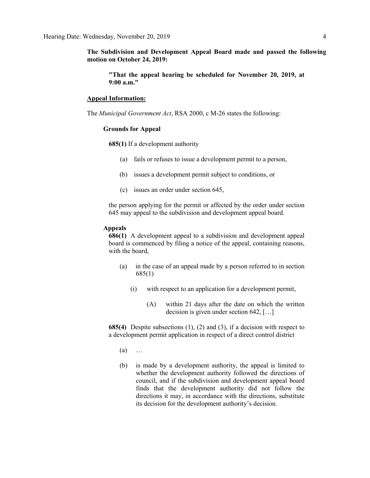**The Subdivision and Development Appeal Board made and passed the following motion on October 24, 2019:** 

**"That the appeal hearing be scheduled for November 20, 2019, at 9:00 a.m."**

#### **Appeal Information:**

The *Municipal Government Act*, RSA 2000, c M-26 states the following:

#### **Grounds for Appeal**

**685(1)** If a development authority

- (a) fails or refuses to issue a development permit to a person,
- (b) issues a development permit subject to conditions, or
- (c) issues an order under section 645,

the person applying for the permit or affected by the order under section 645 may appeal to the subdivision and development appeal board.

#### **Appeals**

**686(1)** A development appeal to a subdivision and development appeal board is commenced by filing a notice of the appeal, containing reasons, with the board,

- (a) in the case of an appeal made by a person referred to in section 685(1)
	- (i) with respect to an application for a development permit,
		- (A) within 21 days after the date on which the written decision is given under section 642, […]

**685(4)** Despite subsections (1), (2) and (3), if a decision with respect to a development permit application in respect of a direct control district

- (a) …
- (b) is made by a development authority, the appeal is limited to whether the development authority followed the directions of council, and if the subdivision and development appeal board finds that the development authority did not follow the directions it may, in accordance with the directions, substitute its decision for the development authority's decision.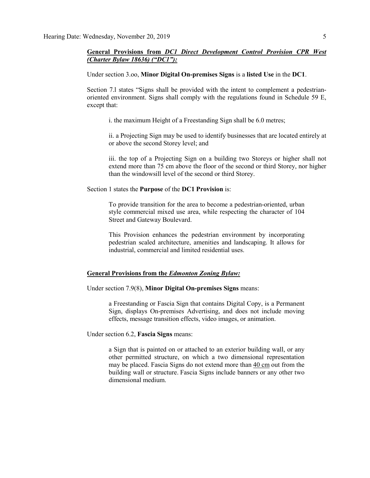#### **General Provisions from** *DC1 Direct Development Control Provision CPR West (Charter Bylaw 18636) ("DC1"):*

Under section 3.oo, **Minor Digital On-premises Signs** is a **listed Use** in the **DC1**.

Section 7.l states "Signs shall be provided with the intent to complement a pedestrianoriented environment. Signs shall comply with the regulations found in Schedule 59 E, except that:

i. the maximum Height of a Freestanding Sign shall be 6.0 metres;

ii. a Projecting Sign may be used to identify businesses that are located entirely at or above the second Storey level; and

iii. the top of a Projecting Sign on a building two Storeys or higher shall not extend more than 75 cm above the floor of the second or third Storey, nor higher than the windowsill level of the second or third Storey.

Section 1 states the **Purpose** of the **DC1 Provision** is:

To provide transition for the area to become a pedestrian-oriented, urban style commercial mixed use area, while respecting the character of 104 Street and Gateway Boulevard.

This Provision enhances the pedestrian environment by incorporating pedestrian scaled architecture, amenities and landscaping. It allows for industrial, commercial and limited residential uses.

#### **General Provisions from the** *Edmonton Zoning Bylaw:*

Under section 7.9(8), **Minor Digital On-premises Signs** means:

a Freestanding or Fascia Sign that contains Digital Copy, is a Permanent Sign, displays On-premises Advertising, and does not include moving effects, message transition effects, video images, or animation.

Under section 6.2, **Fascia Signs** means:

a Sign that is painted on or attached to an exterior building wall, or any other permitted structure, on which a two dimensional representation may be placed. Fascia Signs do not extend more than 40 [cm](javascript:void(0);) out from the building wall or structure. Fascia Signs include banners or any other two dimensional medium.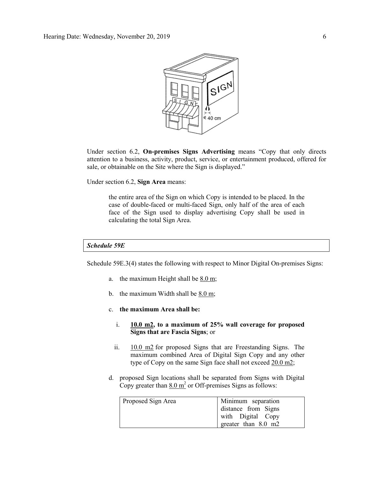

Under section 6.2, **On-premises Signs Advertising** means "Copy that only directs attention to a business, activity, product, service, or entertainment produced, offered for sale, or obtainable on the Site where the Sign is displayed."

Under section 6.2, **Sign Area** means:

the entire area of the Sign on which Copy is intended to be placed. In the case of double-faced or multi-faced Sign, only half of the area of each face of the Sign used to display advertising Copy shall be used in calculating the total Sign Area.

#### *Schedule 59E*

Schedule 59E.3(4) states the following with respect to Minor Digital On-premises Signs:

- a. the maximum Height shall be  $8.0 \text{ m}$ ;
- b. the maximum Width shall be  $8.0 \text{ m}$ ;
- c. **the maximum Area shall be:**
	- i. **[10.0 m2,](javascript:void(0);) to a maximum of 25% wall coverage for proposed Signs that are Fascia Signs**; or
	- ii. [10.0 m2](javascript:void(0);) for proposed Signs that are Freestanding Signs. The maximum combined Area of Digital Sign Copy and any other type of Copy on the same Sign face shall not exceed [20.0 m2;](javascript:void(0);)
- d. proposed Sign locations shall be separated from Signs with Digital Copy greater than  $8.0 \text{ m}^2$  or Off-premises Signs as follows:

| Proposed Sign Area | Minimum separation  |
|--------------------|---------------------|
|                    | distance from Signs |
|                    | with Digital Copy   |
|                    | greater than 8.0 m2 |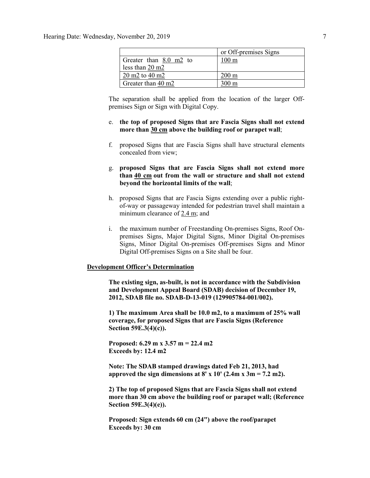|                           | or Off-premises Signs |
|---------------------------|-----------------------|
| Greater than 8.0 m2 to    | 100 m                 |
| less than $20 \text{ m}2$ |                       |
| $20 \text{ m}$ 2 to 40 m2 | $200 \text{ m}$       |
| Greater than 40 m2        | 00 m                  |

The separation shall be applied from the location of the larger Offpremises Sign or Sign with Digital Copy.

- e. **the top of proposed Signs that are Fascia Signs shall not extend more than [30 cm](javascript:void(0);) above the building roof or parapet wall**;
- f. proposed Signs that are Fascia Signs shall have structural elements concealed from view;
- g. **proposed Signs that are Fascia Signs shall not extend more than [40 cm](javascript:void(0);) out from the wall or structure and shall not extend beyond the horizontal limits of the wall**;
- h. proposed Signs that are Fascia Signs extending over a public rightof-way or passageway intended for pedestrian travel shall maintain a minimum clearance of [2.4 m;](javascript:void(0);) and
- i. the maximum number of Freestanding On-premises Signs, Roof Onpremises Signs, Major Digital Signs, Minor Digital On-premises Signs, Minor Digital On-premises Off-premises Signs and Minor Digital Off-premises Signs on a Site shall be four.

#### **Development Officer's Determination**

**The existing sign, as-built, is not in accordance with the Subdivision and Development Appeal Board (SDAB) decision of December 19, 2012, SDAB file no. SDAB-D-13-019 (129905784-001/002).**

**1) The maximum Area shall be 10.0 m2, to a maximum of 25% wall coverage, for proposed Signs that are Fascia Signs (Reference Section 59E.3(4)(c)).**

**Proposed: 6.29 m x 3.57 m = 22.4 m2 Exceeds by: 12.4 m2**

**Note: The SDAB stamped drawings dated Feb 21, 2013, had**  approved the sign dimensions at  $8' \times 10'$  (2.4m  $\times 3m = 7.2$  m2).

**2) The top of proposed Signs that are Fascia Signs shall not extend more than 30 cm above the building roof or parapet wall; (Reference Section 59E.3(4)(e)).**

**Proposed: Sign extends 60 cm (24") above the roof/parapet Exceeds by: 30 cm**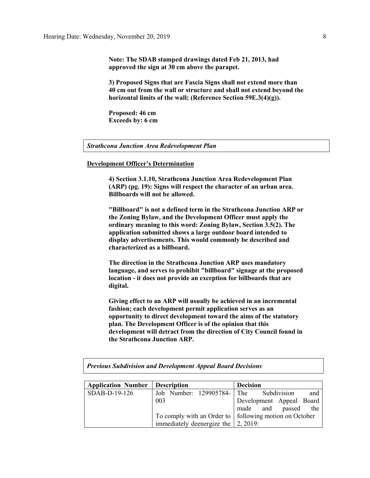**Note: The SDAB stamped drawings dated Feb 21, 2013, had approved the sign at 30 cm above the parapet.**

**3) Proposed Signs that are Fascia Signs shall not extend more than 40 cm out from the wall or structure and shall not extend beyond the horizontal limits of the wall; (Reference Section 59E.3(4)(g)).**

**Proposed: 46 cm Exceeds by: 6 cm**

#### *Strathcona Junction Area Redevelopment Plan*

#### **Development Officer's Determination**

**4) Section 3.1.10, Strathcona Junction Area Redevelopment Plan (ARP) (pg. 19): Signs will respect the character of an urban area. Billboards will not be allowed.** 

**"Billboard" is not a defined term in the Strathcona Junction ARP or the Zoning Bylaw, and the Development Officer must apply the ordinary meaning to this word: Zoning Bylaw, Section 3.5(2). The application submitted shows a large outdoor board intended to display advertisements. This would commonly be described and characterized as a billboard.** 

**The direction in the Strathcona Junction ARP uses mandatory language, and serves to prohibit "billboard" signage at the proposed location - it does not provide an exception for billboards that are digital.** 

**Giving effect to an ARP will usually be achieved in an incremental fashion; each development permit application serves as an opportunity to direct development toward the aims of the statutory plan. The Development Officer is of the opinion that this development will detract from the direction of City Council found in the Strathcona Junction ARP.**

*Previous Subdivision and Development Appeal Board Decisions*

| <b>Application Number</b> | <b>Description</b>                                 | <b>Decision</b>                                          |
|---------------------------|----------------------------------------------------|----------------------------------------------------------|
| SDAB-D-19-126             | Job Number: 129905784- The Subdivision             | and                                                      |
|                           | 003                                                | Development Appeal Board                                 |
|                           |                                                    | made and passed the                                      |
|                           |                                                    | To comply with an Order to   following motion on October |
|                           | immediately deenergize the $\vert 2, 2019 \rangle$ |                                                          |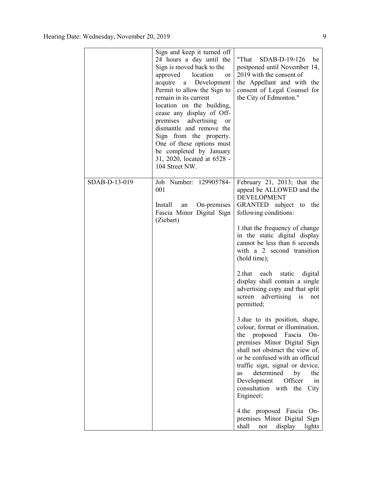|               | Sign and keep it turned off<br>24 hours a day until the<br>Sign is moved back to the<br>approved<br>location<br><b>or</b><br>acquire a Development<br>Permit to allow the Sign to<br>remain in its current<br>location on the building,<br>cease any display of Off-<br>premises advertising<br>or<br>dismantle and remove the<br>Sign from the property.<br>One of these options must<br>be completed by January<br>31, 2020, located at 6528 -<br>104 Street NW. | "That $SDAB-D-19-126$<br>be<br>postponed until November 14,<br>2019 with the consent of<br>the Appellant and with the<br>consent of Legal Counsel for<br>the City of Edmonton."                                                                                                                                                                                                                                                                                                                                                                                                                                                                                                                                                                                                                                                              |
|---------------|--------------------------------------------------------------------------------------------------------------------------------------------------------------------------------------------------------------------------------------------------------------------------------------------------------------------------------------------------------------------------------------------------------------------------------------------------------------------|----------------------------------------------------------------------------------------------------------------------------------------------------------------------------------------------------------------------------------------------------------------------------------------------------------------------------------------------------------------------------------------------------------------------------------------------------------------------------------------------------------------------------------------------------------------------------------------------------------------------------------------------------------------------------------------------------------------------------------------------------------------------------------------------------------------------------------------------|
| SDAB-D-13-019 | Job Number: 129905784-<br>001<br>On-premises<br>Install<br>an<br>Fascia Minor Digital Sign<br>(Ziebart)                                                                                                                                                                                                                                                                                                                                                            | February 21, 2013; that the<br>appeal be ALLOWED and the<br><b>DEVELOPMENT</b><br>GRANTED subject to the<br>following conditions:<br>1.that the frequency of change<br>in the static digital display<br>cannot be less than 6 seconds<br>with a 2 second transition<br>(hold time);<br>2.that each<br>static<br>digital<br>display shall contain a single<br>advertising copy and that split<br>screen advertising is<br>not<br>permitted;<br>3.due to its position, shape,<br>colour, format or illumination,<br>Fascia<br>the<br>proposed<br>On-<br>premises Minor Digital Sign<br>shall not obstruct the view of,<br>or be confused with an official<br>traffic sign, signal or device,<br>determined<br>by<br>the<br>as<br>Officer<br>Development<br>in<br>consultation<br>with the<br>City<br>Engineer;<br>4.the proposed Fascia<br>On- |
|               |                                                                                                                                                                                                                                                                                                                                                                                                                                                                    | premises Minor Digital<br>Sign<br>shall<br>display<br>not<br>lights                                                                                                                                                                                                                                                                                                                                                                                                                                                                                                                                                                                                                                                                                                                                                                          |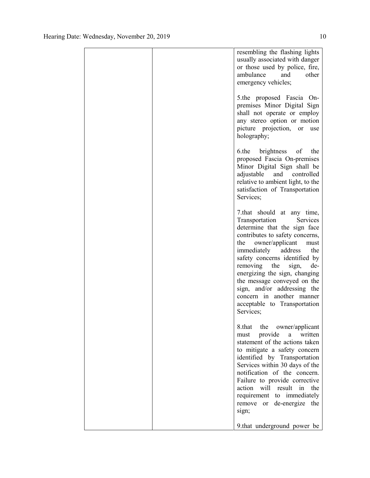|  | resembling the flashing lights<br>usually associated with danger<br>or those used by police, fire,<br>ambulance<br>and<br>other<br>emergency vehicles;                                                                                                                                                                                                                                                                                      |
|--|---------------------------------------------------------------------------------------------------------------------------------------------------------------------------------------------------------------------------------------------------------------------------------------------------------------------------------------------------------------------------------------------------------------------------------------------|
|  | 5.the proposed Fascia On-<br>premises Minor Digital Sign<br>shall not operate or employ<br>any stereo option or motion<br>picture projection,<br><sub>or</sub><br>use<br>holography;                                                                                                                                                                                                                                                        |
|  | 6.the<br>brightness<br>of<br>the<br>proposed Fascia On-premises<br>Minor Digital Sign shall be<br>adjustable and<br>controlled<br>relative to ambient light, to the<br>satisfaction of Transportation<br>Services;                                                                                                                                                                                                                          |
|  | 7.that should at any time,<br>Transportation<br>Services<br>determine that the sign face<br>contributes to safety concerns,<br>owner/applicant<br>the<br>must<br>immediately<br>address<br>the<br>safety concerns identified by<br>de-<br>removing<br>the<br>sign,<br>energizing the sign, changing<br>the message conveyed on the<br>sign, and/or addressing the<br>concern in another manner<br>acceptable to Transportation<br>Services: |
|  | 8.that<br>the<br>owner/applicant<br>provide<br>written<br>a<br>must<br>statement of the actions taken<br>to mitigate a safety concern<br>identified by Transportation<br>Services within 30 days of the<br>notification of the concern.<br>Failure to provide corrective<br>will result in the<br>action<br>requirement to immediately<br>remove<br>or de-energize the<br>sign;                                                             |
|  | 9.that underground power be                                                                                                                                                                                                                                                                                                                                                                                                                 |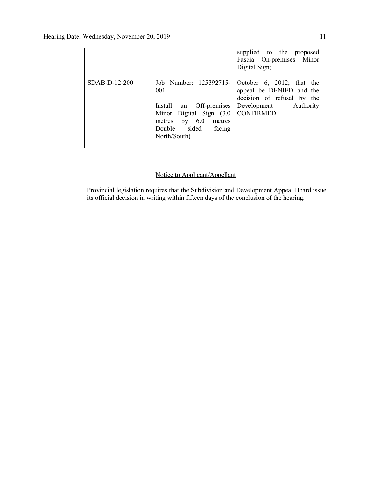|               |                                                                                                                                                                    | supplied to the proposed<br>Fascia On-premises Minor<br>Digital Sign;                                        |
|---------------|--------------------------------------------------------------------------------------------------------------------------------------------------------------------|--------------------------------------------------------------------------------------------------------------|
| SDAB-D-12-200 | Job Number: 125392715-<br>001<br>Install an Off-premises<br>Minor Digital Sign (3.0   CONFIRMED.<br>metres by 6.0<br>metres<br>Double sided facing<br>North/South) | October 6, 2012; that the<br>appeal be DENIED and the<br>decision of refusal by the<br>Development Authority |

### Notice to Applicant/Appellant

Provincial legislation requires that the Subdivision and Development Appeal Board issue its official decision in writing within fifteen days of the conclusion of the hearing.

\_\_\_\_\_\_\_\_\_\_\_\_\_\_\_\_\_\_\_\_\_\_\_\_\_\_\_\_\_\_\_\_\_\_\_\_\_\_\_\_\_\_\_\_\_\_\_\_\_\_\_\_\_\_\_\_\_\_\_\_\_\_\_\_\_\_\_\_\_\_\_\_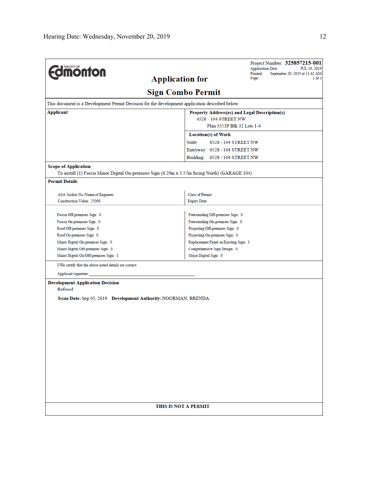|                                                                            | Project Number: 325857215-001<br><b>Application Date:</b><br>JUL 19, 2019                       |  |  |
|----------------------------------------------------------------------------|-------------------------------------------------------------------------------------------------|--|--|
| <b>monton</b>                                                              | Printed:<br>September 20, 2019 at 11:42 AM<br><b>Application for</b><br>Page:                   |  |  |
|                                                                            |                                                                                                 |  |  |
|                                                                            | <b>Sign Combo Permit</b>                                                                        |  |  |
|                                                                            | This document is a Development Permit Decision for the development application described below. |  |  |
| <b>Applicant</b>                                                           | Property Address(es) and Legal Description(s)                                                   |  |  |
|                                                                            | 6528 - 104 STREET NW                                                                            |  |  |
|                                                                            | Plan 3553P Blk 32 Lots 1-4                                                                      |  |  |
|                                                                            | Location(s) of Work                                                                             |  |  |
|                                                                            | Suite:<br>6528 - 104 STREET NW                                                                  |  |  |
|                                                                            | Entryway: 6528 - 104 STREET NW                                                                  |  |  |
|                                                                            | Building: 6528 - 104 STREET NW                                                                  |  |  |
| <b>Scope of Application</b>                                                |                                                                                                 |  |  |
|                                                                            | To install (1) Fascia Minor Digital On-premises Sign (6.29m x 3.57m facing North) (GARAGE 104). |  |  |
| <b>Permit Details</b>                                                      |                                                                                                 |  |  |
|                                                                            | <b>Class of Permit:</b>                                                                         |  |  |
| ASA Sticker No./Name of Engineer:<br>Construction Value: 25000             | <b>Expiry Date:</b>                                                                             |  |  |
|                                                                            |                                                                                                 |  |  |
| Fascia Off-premises Sign: 0                                                | Freestanding Off-premises Sign: 0                                                               |  |  |
| Fascia On-premises Sign: 0                                                 | Freestanding On-premises Sign: 0                                                                |  |  |
| Roof Off-premises Sign: 0                                                  | Projecting Off-premises Sign: 0                                                                 |  |  |
| Roof On-premises Sign: 0<br>Projecting On-premises Sign: 0                 |                                                                                                 |  |  |
| Minor Digital On-premises Sign: 0<br>Replacement Panel on Existing Sign: 0 |                                                                                                 |  |  |
| Minor Digital Off-premises Sign: 0                                         | Comprehensive Sign Design: 0                                                                    |  |  |
| Minor Digital On/Off-premises Sign: 1                                      | Major Digital Sign: 0                                                                           |  |  |
| I/We certify that the above noted details are correct.                     |                                                                                                 |  |  |
| Applicant signature:                                                       |                                                                                                 |  |  |
| <b>Development Application Decision</b>                                    |                                                                                                 |  |  |
| Refused                                                                    |                                                                                                 |  |  |
| Issue Date: Sep 05, 2019 Development Authority: NOORMAN, BRENDA            |                                                                                                 |  |  |
|                                                                            |                                                                                                 |  |  |
|                                                                            |                                                                                                 |  |  |
|                                                                            |                                                                                                 |  |  |
|                                                                            |                                                                                                 |  |  |
|                                                                            |                                                                                                 |  |  |
|                                                                            |                                                                                                 |  |  |
|                                                                            |                                                                                                 |  |  |
|                                                                            |                                                                                                 |  |  |
|                                                                            |                                                                                                 |  |  |
|                                                                            |                                                                                                 |  |  |
|                                                                            |                                                                                                 |  |  |
|                                                                            |                                                                                                 |  |  |
|                                                                            |                                                                                                 |  |  |
|                                                                            |                                                                                                 |  |  |
|                                                                            | THIS IS NOT A PERMIT                                                                            |  |  |
|                                                                            |                                                                                                 |  |  |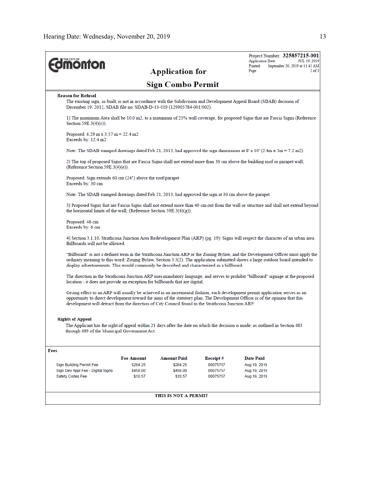| <b>ionton</b>                                                                                         |                                                                                                                                                                                                                |                                |                      | Project Number: 325857215-001<br><b>Application Date:</b><br>Printed:<br>September 20, 2019 at 11:42 AM                                                                                                                                                            | JUL 19, 2019 |
|-------------------------------------------------------------------------------------------------------|----------------------------------------------------------------------------------------------------------------------------------------------------------------------------------------------------------------|--------------------------------|----------------------|--------------------------------------------------------------------------------------------------------------------------------------------------------------------------------------------------------------------------------------------------------------------|--------------|
|                                                                                                       |                                                                                                                                                                                                                | <b>Application for</b>         |                      | Page:                                                                                                                                                                                                                                                              | $2$ of $3$   |
|                                                                                                       |                                                                                                                                                                                                                | <b>Sign Combo Permit</b>       |                      |                                                                                                                                                                                                                                                                    |              |
| <b>Reason for Refusal</b>                                                                             |                                                                                                                                                                                                                |                                |                      |                                                                                                                                                                                                                                                                    |              |
| December 19, 2012, SDAB file no. SDAB-D-13-019 (129905784-001/002).                                   |                                                                                                                                                                                                                |                                |                      | The existing sign, as-built, is not in accordance with the Subdivision and Development Appeal Board (SDAB) decision of                                                                                                                                             |              |
| Section $59E.3(4)(c)$ ).                                                                              |                                                                                                                                                                                                                |                                |                      | 1) The maximum Area shall be 10.0 m2, to a maximum of 25% wall coverage, for proposed Signs that are Fascia Signs (Reference                                                                                                                                       |              |
| Proposed: $6.29$ m x $3.57$ m = 22.4 m2<br>Exceeds by: $12.4 \text{ m}2$                              |                                                                                                                                                                                                                |                                |                      |                                                                                                                                                                                                                                                                    |              |
|                                                                                                       |                                                                                                                                                                                                                |                                |                      | Note: The SDAB stamped drawings dated Feb 21, 2013, had approved the sign dimensions at 8' x 10' (2.4m x 3m = 7.2 m2).                                                                                                                                             |              |
| (Reference Section 59E.3(4)(e)).                                                                      |                                                                                                                                                                                                                |                                |                      | 2) The top of proposed Signs that are Fascia Signs shall not extend more than 30 cm above the building roof or parapet wall;                                                                                                                                       |              |
| Proposed: Sign extends 60 cm $(24")$ above the roof/parapet<br>Exceeds by: 30 cm                      |                                                                                                                                                                                                                |                                |                      |                                                                                                                                                                                                                                                                    |              |
| Note: The SDAB stamped drawings dated Feb 21, 2013, had approved the sign at 30 cm above the parapet. |                                                                                                                                                                                                                |                                |                      |                                                                                                                                                                                                                                                                    |              |
|                                                                                                       | 3) Proposed Signs that are Fascia Signs shall not extend more than 40 cm out from the wall or structure and shall not extend beyond<br>the horizontal limits of the wall; (Reference Section 59E.3(4) $(g)$ ). |                                |                      |                                                                                                                                                                                                                                                                    |              |
| Proposed: 46 cm<br>Exceeds by: 6 cm                                                                   |                                                                                                                                                                                                                |                                |                      |                                                                                                                                                                                                                                                                    |              |
| Billboards will not be allowed.                                                                       |                                                                                                                                                                                                                |                                |                      | 4) Section 3.1.10, Strathcona Junction Area Redevelopment Plan (ARP) (pg. 19): Signs will respect the character of an urban area.                                                                                                                                  |              |
| display advertisements. This would commonly be described and characterized as a billboard.            |                                                                                                                                                                                                                |                                |                      | "Billboard" is not a defined term in the Strathcona Junction ARP or the Zoning Bylaw, and the Development Officer must apply the<br>ordinary meaning to this word: Zoning Bylaw, Section 3.5(2). The application submitted shows a large outdoor board intended to |              |
| location - it does not provide an exception for billboards that are digital.                          |                                                                                                                                                                                                                |                                |                      | The direction in the Strathcona Junction ARP uses mandatory language, and serves to prohibit "billboard" signage at the proposed                                                                                                                                   |              |
| development will detract from the direction of City Council found in the Strathcona Junction ARP.     |                                                                                                                                                                                                                |                                |                      | Giving effect to an ARP will usually be achieved in an incremental fashion; each development permit application serves as an<br>opportunity to direct development toward the aims of the statutory plan. The Development Officer is of the opinion that this       |              |
| <b>Rights of Appeal</b><br>through 689 of the Municipal Government Act.                               |                                                                                                                                                                                                                |                                |                      | The Applicant has the right of appeal within 21 days after the date on which the decision is made, as outlined in Section 683                                                                                                                                      |              |
|                                                                                                       |                                                                                                                                                                                                                |                                |                      |                                                                                                                                                                                                                                                                    |              |
| Fees                                                                                                  |                                                                                                                                                                                                                |                                |                      |                                                                                                                                                                                                                                                                    |              |
| Sign Building Permit Fee                                                                              | <b>Fee Amount</b><br>\$264.25                                                                                                                                                                                  | <b>Amount Paid</b><br>\$264.25 | Receipt#<br>06075757 | <b>Date Paid</b><br>Aug 19, 2019                                                                                                                                                                                                                                   |              |
| Sign Dev Appl Fee - Digital Signs                                                                     | \$458.00                                                                                                                                                                                                       | \$458.00                       | 06075757             | Aug 19, 2019                                                                                                                                                                                                                                                       |              |
| Safety Codes Fee                                                                                      | \$10.57                                                                                                                                                                                                        | \$10.57                        | 06075757             | Aug 19, 2019                                                                                                                                                                                                                                                       |              |
|                                                                                                       |                                                                                                                                                                                                                | THIS IS NOT A PERMIT           |                      |                                                                                                                                                                                                                                                                    |              |
|                                                                                                       |                                                                                                                                                                                                                |                                |                      |                                                                                                                                                                                                                                                                    |              |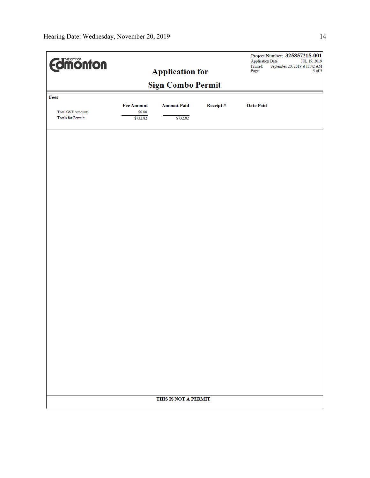| <b>Edimonton</b>         |                             | <b>Application for</b> |          | Project Number: 325857215-001<br>Application Date:<br>JUL 19, 2019<br>September 20, 2019 at 11:42 ${\rm AM}$<br>Printed:<br>3 of 3<br>Page: |
|--------------------------|-----------------------------|------------------------|----------|---------------------------------------------------------------------------------------------------------------------------------------------|
| <b>Sign Combo Permit</b> |                             |                        |          |                                                                                                                                             |
| Fees                     |                             |                        |          |                                                                                                                                             |
| <b>Total GST Amount:</b> | <b>Fee Amount</b><br>\$0.00 | <b>Amount Paid</b>     | Receipt# | <b>Date Paid</b>                                                                                                                            |
| Totals for Permit:       | \$732.82                    | \$732.82               |          |                                                                                                                                             |
|                          |                             |                        |          |                                                                                                                                             |
|                          |                             |                        |          |                                                                                                                                             |
|                          |                             |                        |          |                                                                                                                                             |
|                          |                             |                        |          |                                                                                                                                             |
|                          |                             |                        |          |                                                                                                                                             |
|                          |                             |                        |          |                                                                                                                                             |
|                          |                             |                        |          |                                                                                                                                             |
|                          |                             |                        |          |                                                                                                                                             |
|                          |                             |                        |          |                                                                                                                                             |
|                          |                             |                        |          |                                                                                                                                             |
|                          |                             |                        |          |                                                                                                                                             |
|                          |                             |                        |          |                                                                                                                                             |
|                          |                             |                        |          |                                                                                                                                             |
|                          |                             |                        |          |                                                                                                                                             |
|                          |                             |                        |          |                                                                                                                                             |
|                          |                             |                        |          |                                                                                                                                             |
|                          |                             |                        |          |                                                                                                                                             |
|                          |                             |                        |          |                                                                                                                                             |
|                          |                             |                        |          |                                                                                                                                             |
|                          |                             |                        |          |                                                                                                                                             |
|                          |                             |                        |          |                                                                                                                                             |
|                          |                             | THIS IS NOT A PERMIT   |          |                                                                                                                                             |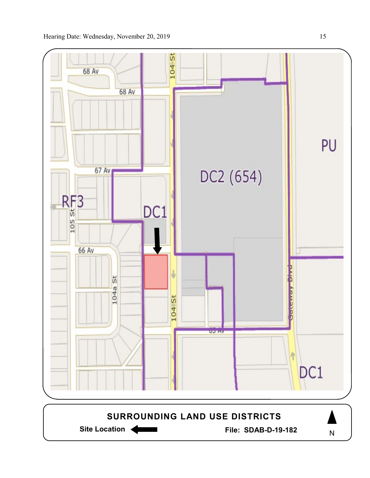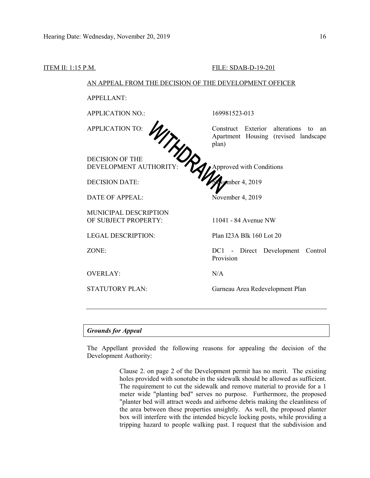ITEM II: 1:15 P.M. FILE: SDAB-D-19-201

| <b>APPLICATION NO.:</b>         | 169981523-013                                                                               |
|---------------------------------|---------------------------------------------------------------------------------------------|
|                                 |                                                                                             |
| <b>APPLICATION TO:</b><br>WTWPA | Construct Exterior alterations<br>to<br>an<br>Apartment Housing (revised landscape<br>plan) |
| <b>DECISION OF THE</b>          |                                                                                             |
| DEVELOPMENT AUTHORITY:          | Approved with Conditions                                                                    |
| <b>DECISION DATE:</b>           | womber 4, 2019                                                                              |
| DATE OF APPEAL:                 | November 4, 2019                                                                            |
| <b>MUNICIPAL DESCRIPTION</b>    |                                                                                             |
| OF SUBJECT PROPERTY:            | 11041 - 84 Avenue NW                                                                        |
| <b>LEGAL DESCRIPTION:</b>       | Plan I23A Blk 160 Lot 20                                                                    |
| ZONE:                           | DC1 - Direct Development<br>Control<br>Provision                                            |
| <b>OVERLAY:</b>                 | N/A                                                                                         |
| <b>STATUTORY PLAN:</b>          | Garneau Area Redevelopment Plan                                                             |

#### *Grounds for Appeal*

The Appellant provided the following reasons for appealing the decision of the Development Authority:

> Clause 2. on page 2 of the Development permit has no merit. The existing holes provided with sonotube in the sidewalk should be allowed as sufficient. The requirement to cut the sidewalk and remove material to provide for a 1 meter wide "planting bed" serves no purpose. Furthermore, the proposed "planter bed will attract weeds and airborne debris making the cleanliness of the area between these properties unsightly. As well, the proposed planter box will interfere with the intended bicycle locking posts, while providing a tripping hazard to people walking past. I request that the subdivision and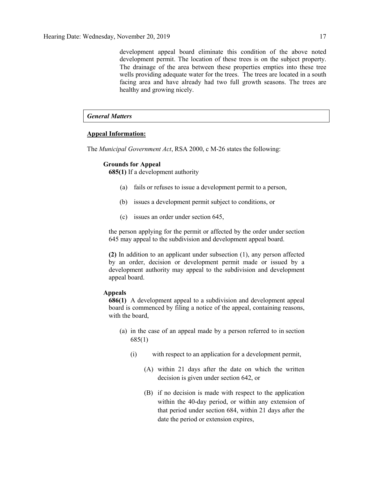development appeal board eliminate this condition of the above noted development permit. The location of these trees is on the subject property. The drainage of the area between these properties empties into these tree wells providing adequate water for the trees. The trees are located in a south facing area and have already had two full growth seasons. The trees are healthy and growing nicely.

#### *General Matters*

#### **Appeal Information:**

The *Municipal Government Act*, RSA 2000, c M-26 states the following:

#### **Grounds for Appeal**

**685(1)** If a development authority

- (a) fails or refuses to issue a development permit to a person,
- (b) issues a development permit subject to conditions, or
- (c) issues an order under section 645,

the person applying for the permit or affected by the order under section 645 may appeal to the subdivision and development appeal board.

**(2)** In addition to an applicant under subsection (1), any person affected by an order, decision or development permit made or issued by a development authority may appeal to the subdivision and development appeal board.

#### **Appeals**

**686(1)** A development appeal to a subdivision and development appeal board is commenced by filing a notice of the appeal, containing reasons, with the board,

- (a) in the case of an appeal made by a person referred to in section 685(1)
	- (i) with respect to an application for a development permit,
		- (A) within 21 days after the date on which the written decision is given under section 642, or
		- (B) if no decision is made with respect to the application within the 40-day period, or within any extension of that period under section 684, within 21 days after the date the period or extension expires,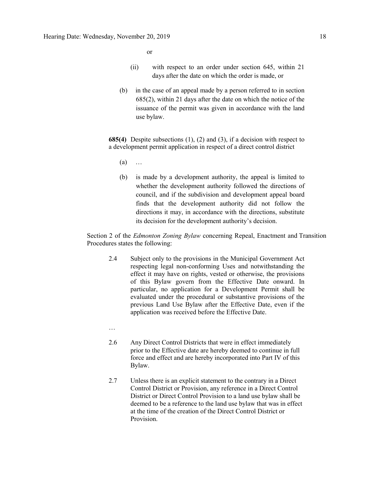or

- (ii) with respect to an order under section 645, within 21 days after the date on which the order is made, or
- (b) in the case of an appeal made by a person referred to in section 685(2), within 21 days after the date on which the notice of the issuance of the permit was given in accordance with the land use bylaw.

**685(4)** Despite subsections (1), (2) and (3), if a decision with respect to a development permit application in respect of a direct control district

- $(a)$  …
- (b) is made by a development authority, the appeal is limited to whether the development authority followed the directions of council, and if the subdivision and development appeal board finds that the development authority did not follow the directions it may, in accordance with the directions, substitute its decision for the development authority's decision.

Section 2 of the *Edmonton Zoning Bylaw* concerning Repeal, Enactment and Transition Procedures states the following:

- 2.4 Subject only to the provisions in the Municipal Government Act respecting legal non-conforming Uses and notwithstanding the effect it may have on rights, vested or otherwise, the provisions of this Bylaw govern from the Effective Date onward. In particular, no application for a Development Permit shall be evaluated under the procedural or substantive provisions of the previous Land Use Bylaw after the Effective Date, even if the application was received before the Effective Date.
- …
- 2.6 Any Direct Control Districts that were in effect immediately prior to the Effective date are hereby deemed to continue in full force and effect and are hereby incorporated into Part IV of this Bylaw.
- 2.7 Unless there is an explicit statement to the contrary in a Direct Control District or Provision, any reference in a Direct Control District or Direct Control Provision to a land use bylaw shall be deemed to be a reference to the land use bylaw that was in effect at the time of the creation of the Direct Control District or Provision.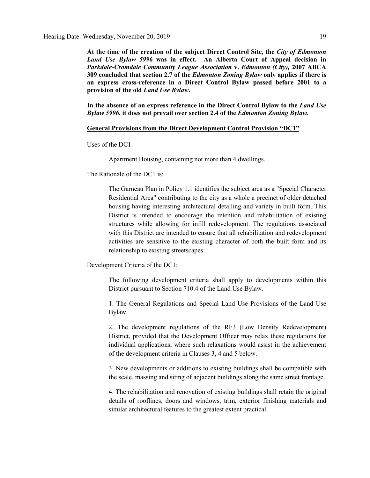**At the time of the creation of the subject Direct Control Site, the** *City of Edmonton Land Use Bylaw 5996* **was in effect. An Alberta Court of Appeal decision in**  *Parkdale-Cromdale Community League Association* **v.** *Edmonton (City),* **2007 ABCA 309 concluded that section 2.7 of the** *Edmonton Zoning Bylaw* **only applies if there is an express cross-reference in a Direct Control Bylaw passed before 2001 to a provision of the old** *Land Use Bylaw***.**

**In the absence of an express reference in the Direct Control Bylaw to the** *Land Use Bylaw 5996***, it does not prevail over section 2.4 of the** *Edmonton Zoning Bylaw.*

#### **General Provisions from the Direct Development Control Provision "DC1"**

Uses of the DC1:

Apartment Housing, containing not more than 4 dwellings.

The Rationale of the DC1 is:

The Garneau Plan in Policy 1.1 identifies the subject area as a "Special Character Residential Area" contributing to the city as a whole a precinct of older detached housing having interesting architectural detailing and variety in built form. This District is intended to encourage the retention and rehabilitation of existing structures while allowing for infill redevelopment. The regulations associated with this District are intended to ensure that all rehabilitation and redevelopment activities are sensitive to the existing character of both the built form and its relationship to existing streetscapes.

Development Criteria of the DC1:

The following development criteria shall apply to developments within this District pursuant to Section 710.4 of the Land Use Bylaw.

1. The General Regulations and Special Land Use Provisions of the Land Use Bylaw.

2. The development regulations of the RF3 (Low Density Redevelopment) District, provided that the Development Officer may relax these regulations for individual applications, where such relaxations would assist in the achievement of the development criteria in Clauses 3, 4 and 5 below.

3. New developments or additions to existing buildings shall be compatible with the scale, massing and siting of adjacent buildings along the same street frontage.

4. The rehabilitation and renovation of existing buildings shall retain the original details of rooflines, doors and windows, trim, exterior finishing materials and similar architectural features to the greatest extent practical.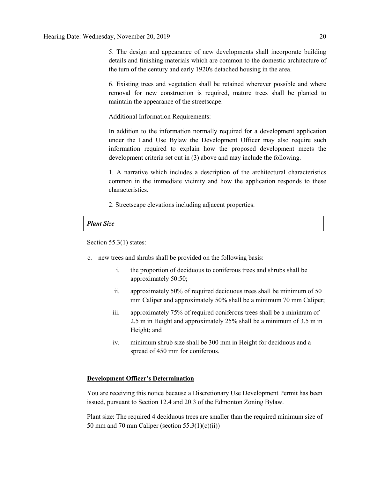5. The design and appearance of new developments shall incorporate building details and finishing materials which are common to the domestic architecture of the turn of the century and early 1920's detached housing in the area.

6. Existing trees and vegetation shall be retained wherever possible and where removal for new construction is required, mature trees shall be planted to maintain the appearance of the streetscape.

Additional Information Requirements:

In addition to the information normally required for a development application under the Land Use Bylaw the Development Officer may also require such information required to explain how the proposed development meets the development criteria set out in (3) above and may include the following.

1. A narrative which includes a description of the architectural characteristics common in the immediate vicinity and how the application responds to these characteristics.

2. Streetscape elevations including adjacent properties.

#### *Plant Size*

Section 55.3(1) states:

- c. new trees and shrubs shall be provided on the following basis:
	- i. the proportion of deciduous to coniferous trees and shrubs shall be approximately 50:50;
	- ii. approximately 50% of required deciduous trees shall be minimum of 50 mm Caliper and approximately 50% shall be a minimum 70 mm Caliper;
	- iii. approximately 75% of required coniferous trees shall be a minimum of 2.5 m in Height and approximately 25% shall be a minimum of 3.5 m in Height; and
	- iv. minimum shrub size shall be 300 mm in Height for deciduous and a spread of 450 mm for coniferous.

### **Development Officer's Determination**

You are receiving this notice because a Discretionary Use Development Permit has been issued, pursuant to Section 12.4 and 20.3 of the Edmonton Zoning Bylaw.

Plant size: The required 4 deciduous trees are smaller than the required minimum size of 50 mm and 70 mm Caliper (section 55.3(1)(c)(ii))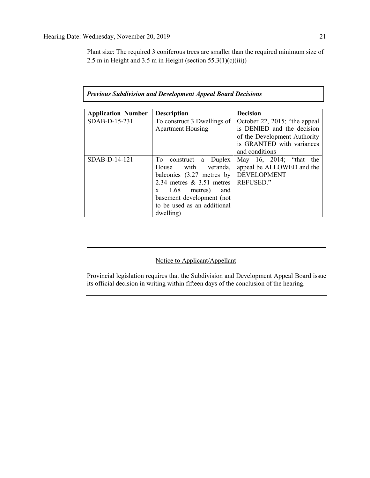Plant size: The required 3 coniferous trees are smaller than the required minimum size of 2.5 m in Height and 3.5 m in Height (section  $55.3(1)(c)(iii)$ )

| <b>Application Number</b> | <b>Description</b>                    | <b>Decision</b>                |
|---------------------------|---------------------------------------|--------------------------------|
| SDAB-D-15-231             | To construct 3 Dwellings of           | October 22, 2015; "the appeal" |
|                           | <b>Apartment Housing</b>              | is DENIED and the decision     |
|                           |                                       | of the Development Authority   |
|                           |                                       | is GRANTED with variances      |
|                           |                                       | and conditions                 |
| SDAB-D-14-121             | To<br>Duplex<br>construct<br>a        | May 16, 2014; "that the        |
|                           | House with<br>veranda,                | appeal be ALLOWED and the      |
|                           | balconies $(3.27$ metres by           | <b>DEVELOPMENT</b>             |
|                           | 2.34 metres $\&$ 3.51 metres          | <b>REFUSED."</b>               |
|                           | $1.68$ metres)<br>and<br>$\mathbf{X}$ |                                |
|                           | basement development (not             |                                |
|                           | to be used as an additional           |                                |
|                           | dwelling)                             |                                |

### *Previous Subdivision and Development Appeal Board Decisions*

### Notice to Applicant/Appellant

Provincial legislation requires that the Subdivision and Development Appeal Board issue its official decision in writing within fifteen days of the conclusion of the hearing.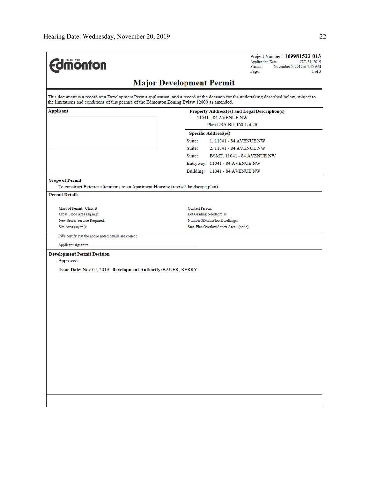| <b><i><u><u>monton</u></u></i></b>                                                                             | Project Number: 169981523-013<br><b>Application Date:</b><br>JUL 31, 2019<br>Printed:<br>November 5, 2019 at 7:45 AM<br>$1$ of $3$<br>Page: |
|----------------------------------------------------------------------------------------------------------------|---------------------------------------------------------------------------------------------------------------------------------------------|
|                                                                                                                | <b>Major Development Permit</b>                                                                                                             |
| the limitations and conditions of this permit, of the Edmonton Zoning Bylaw 12800 as amended.                  | This document is a record of a Development Permit application, and a record of the decision for the undertaking described below, subject to |
| Applicant                                                                                                      | Property Address(es) and Legal Description(s)<br>11041 - 84 AVENUE NW<br>Plan I23A Blk 160 Lot 20                                           |
|                                                                                                                | <b>Specific Address(es)</b><br>Suite:<br>1, 11041 - 84 AVENUE NW                                                                            |
|                                                                                                                | Suite:<br>2, 11041 - 84 AVENUE NW<br>Suite:<br><b>BSMT, 11041 - 84 AVENUE NW</b><br>Entryway: 11041 - 84 AVENUE NW                          |
| <b>Scope of Permit</b><br>To construct Exterior alterations to an Apartment Housing (revised landscape plan)   | Building: 11041 - 84 AVENUE NW                                                                                                              |
| <b>Permit Details</b>                                                                                          |                                                                                                                                             |
| Class of Permit: Class B<br>Gross Floor Area (sq.m.):<br>New Sewer Service Required:<br>Site Area (sq. m.):    | Contact Person:<br>Lot Grading Needed?: N<br>NumberOfMainFloorDwellings:<br>Stat. Plan Overlay/Annex Area: (none)                           |
| I/We certify that the above noted details are correct.<br>Applicant signature:                                 |                                                                                                                                             |
| <b>Development Permit Decision</b><br>Approved<br>Issue Date: Nov 04, 2019 Development Authority: BAUER, KERRY |                                                                                                                                             |
|                                                                                                                |                                                                                                                                             |
|                                                                                                                |                                                                                                                                             |
|                                                                                                                |                                                                                                                                             |
|                                                                                                                |                                                                                                                                             |
|                                                                                                                |                                                                                                                                             |
|                                                                                                                |                                                                                                                                             |
|                                                                                                                |                                                                                                                                             |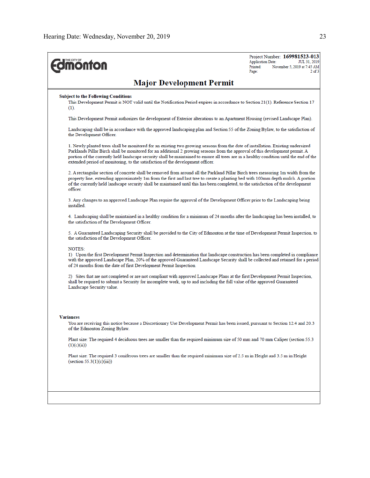| <b><i><u><u><b>M</b>onton</u></u></i></b>                                                                                                                                                                                                                                                                                                                                                                                                                                                       | Project Number: 169981523-013<br><b>Application Date:</b><br>JUL 31, 2019<br>Printed:<br>November 5, 2019 at 7:45 AM<br>$2$ of $3$<br>Page: |
|-------------------------------------------------------------------------------------------------------------------------------------------------------------------------------------------------------------------------------------------------------------------------------------------------------------------------------------------------------------------------------------------------------------------------------------------------------------------------------------------------|---------------------------------------------------------------------------------------------------------------------------------------------|
| <b>Major Development Permit</b>                                                                                                                                                                                                                                                                                                                                                                                                                                                                 |                                                                                                                                             |
| <b>Subject to the Following Conditions</b><br>This Development Permit is NOT valid until the Notification Period expires in accordance to Section 21(1). Reference Section 17<br>$(1)$ .                                                                                                                                                                                                                                                                                                        |                                                                                                                                             |
| This Development Permit authorizes the development of Exterior alterations to an Apartment Housing (revised Landscape Plan).                                                                                                                                                                                                                                                                                                                                                                    |                                                                                                                                             |
| Landscaping shall be in accordance with the approved landscaping plan and Section 55 of the Zoning Bylaw, to the satisfaction of<br>the Development Officer.                                                                                                                                                                                                                                                                                                                                    |                                                                                                                                             |
| 1. Newly planted trees shall be monitored for an existing two growing seasons from the date of installation. Existing undersized<br>Parklands Pillar Birch shall be monitored for an additional 2 growing seasons from the approval of this development permit. A<br>portion of the currently held landscape security shall be maintained to ensure all trees are in a healthy condition until the end of the<br>extended period of monitoring, to the satisfaction of the development officer. |                                                                                                                                             |
| 2. A rectangular section of concrete shall be removed from around all the Parkland Pillar Birch trees measuring 1m width from the<br>property line, extending approximately 1m from the first and last tree to create a planting bed with 100mm depth mulch. A portion<br>of the currently held landscape security shall be maintained until this has been completed, to the satisfaction of the development<br>officer.                                                                        |                                                                                                                                             |
| 3. Any changes to an approved Landscape Plan require the approval of the Development Officer prior to the Landscaping being<br>installed.                                                                                                                                                                                                                                                                                                                                                       |                                                                                                                                             |
| 4. Landscaping shall be maintained in a healthy condition for a minimum of 24 months after the landscaping has been installed, to<br>the satisfaction of the Development Officer.                                                                                                                                                                                                                                                                                                               |                                                                                                                                             |
| 5. A Guaranteed Landscaping Security shall be provided to the City of Edmonton at the time of Development Permit Inspection, to<br>the satisfaction of the Development Officer.                                                                                                                                                                                                                                                                                                                 |                                                                                                                                             |
| <b>NOTES:</b><br>1) Upon the first Development Permit Inspection and determination that landscape construction has been completed in compliance<br>with the approved Landscape Plan, 20% of the approved Guaranteed Landscape Security shall be collected and retained for a period<br>of 24 months from the date of first Development Permit Inspection.                                                                                                                                       |                                                                                                                                             |
| 2) Sites that are not completed or are not compliant with approved Landscape Plans at the first Development Permit Inspection,<br>shall be required to submit a Security for incomplete work, up to and including the full value of the approved Guaranteed<br>Landscape Security value.                                                                                                                                                                                                        |                                                                                                                                             |
| <b>Variances</b>                                                                                                                                                                                                                                                                                                                                                                                                                                                                                |                                                                                                                                             |
| You are receiving this notice because a Discretionary Use Development Permit has been issued, pursuant to Section 12.4 and 20.3<br>of the Edmonton Zoning Bylaw.                                                                                                                                                                                                                                                                                                                                |                                                                                                                                             |
| Plant size: The required 4 deciduous trees are smaller than the required minimum size of 50 mm and 70 mm Caliper (section 55.3)<br>(1)(c)(ii))                                                                                                                                                                                                                                                                                                                                                  |                                                                                                                                             |
| Plant size: The required 3 coniferous trees are smaller than the required minimum size of 2.5 m in Height and 3.5 m in Height<br>$(\text{section } 55.3(1)(c)(iii))$                                                                                                                                                                                                                                                                                                                            |                                                                                                                                             |
|                                                                                                                                                                                                                                                                                                                                                                                                                                                                                                 |                                                                                                                                             |
|                                                                                                                                                                                                                                                                                                                                                                                                                                                                                                 |                                                                                                                                             |
|                                                                                                                                                                                                                                                                                                                                                                                                                                                                                                 |                                                                                                                                             |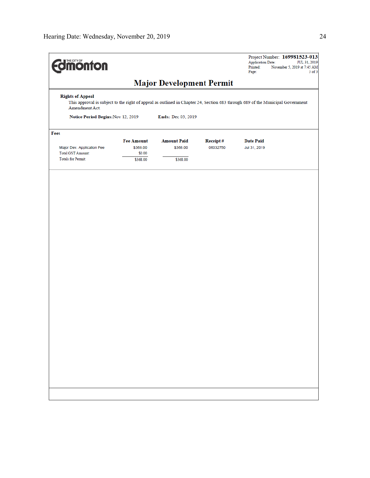| <b>Imonton</b>                                                                                                                                                              |                    |                                 |                 | Project Number: 169981523-013<br><b>Application Date:</b><br>JUL 31, 2019<br>Printed:<br>November 5, 2019 at 7:45 AM<br>Page:<br>$3$ of $3$ |  |  |
|-----------------------------------------------------------------------------------------------------------------------------------------------------------------------------|--------------------|---------------------------------|-----------------|---------------------------------------------------------------------------------------------------------------------------------------------|--|--|
|                                                                                                                                                                             |                    | <b>Major Development Permit</b> |                 |                                                                                                                                             |  |  |
| <b>Rights of Appeal</b><br>This approval is subject to the right of appeal as outlined in Chapter 24, Section 683 through 689 of the Municipal Government<br>Amendment Act. |                    |                                 |                 |                                                                                                                                             |  |  |
| Notice Period Begins: Nov 12, 2019<br>Ends: Dec 03, 2019                                                                                                                    |                    |                                 |                 |                                                                                                                                             |  |  |
| Fees                                                                                                                                                                        |                    |                                 |                 |                                                                                                                                             |  |  |
|                                                                                                                                                                             | <b>Fee Amount</b>  | <b>Amount Paid</b>              | <b>Receipt#</b> | <b>Date Paid</b>                                                                                                                            |  |  |
| Major Dev. Application Fee<br><b>Total GST Amount:</b>                                                                                                                      | \$368.00<br>\$0.00 | \$368.00                        | 06032750        | Jul 31, 2019                                                                                                                                |  |  |
| <b>Totals for Permit:</b>                                                                                                                                                   | \$368.00           | \$368.00                        |                 |                                                                                                                                             |  |  |
|                                                                                                                                                                             |                    |                                 |                 |                                                                                                                                             |  |  |
|                                                                                                                                                                             |                    |                                 |                 |                                                                                                                                             |  |  |
|                                                                                                                                                                             |                    |                                 |                 |                                                                                                                                             |  |  |
|                                                                                                                                                                             |                    |                                 |                 |                                                                                                                                             |  |  |
|                                                                                                                                                                             |                    |                                 |                 |                                                                                                                                             |  |  |
|                                                                                                                                                                             |                    |                                 |                 |                                                                                                                                             |  |  |
|                                                                                                                                                                             |                    |                                 |                 |                                                                                                                                             |  |  |
|                                                                                                                                                                             |                    |                                 |                 |                                                                                                                                             |  |  |
|                                                                                                                                                                             |                    |                                 |                 |                                                                                                                                             |  |  |
|                                                                                                                                                                             |                    |                                 |                 |                                                                                                                                             |  |  |
|                                                                                                                                                                             |                    |                                 |                 |                                                                                                                                             |  |  |
|                                                                                                                                                                             |                    |                                 |                 |                                                                                                                                             |  |  |
|                                                                                                                                                                             |                    |                                 |                 |                                                                                                                                             |  |  |
|                                                                                                                                                                             |                    |                                 |                 |                                                                                                                                             |  |  |
|                                                                                                                                                                             |                    |                                 |                 |                                                                                                                                             |  |  |
|                                                                                                                                                                             |                    |                                 |                 |                                                                                                                                             |  |  |
|                                                                                                                                                                             |                    |                                 |                 |                                                                                                                                             |  |  |
|                                                                                                                                                                             |                    |                                 |                 |                                                                                                                                             |  |  |
|                                                                                                                                                                             |                    |                                 |                 |                                                                                                                                             |  |  |
|                                                                                                                                                                             |                    |                                 |                 |                                                                                                                                             |  |  |
|                                                                                                                                                                             |                    |                                 |                 |                                                                                                                                             |  |  |
|                                                                                                                                                                             |                    |                                 |                 |                                                                                                                                             |  |  |
|                                                                                                                                                                             |                    |                                 |                 |                                                                                                                                             |  |  |
|                                                                                                                                                                             |                    |                                 |                 |                                                                                                                                             |  |  |
|                                                                                                                                                                             |                    |                                 |                 |                                                                                                                                             |  |  |
|                                                                                                                                                                             |                    |                                 |                 |                                                                                                                                             |  |  |
|                                                                                                                                                                             |                    |                                 |                 |                                                                                                                                             |  |  |
|                                                                                                                                                                             |                    |                                 |                 |                                                                                                                                             |  |  |